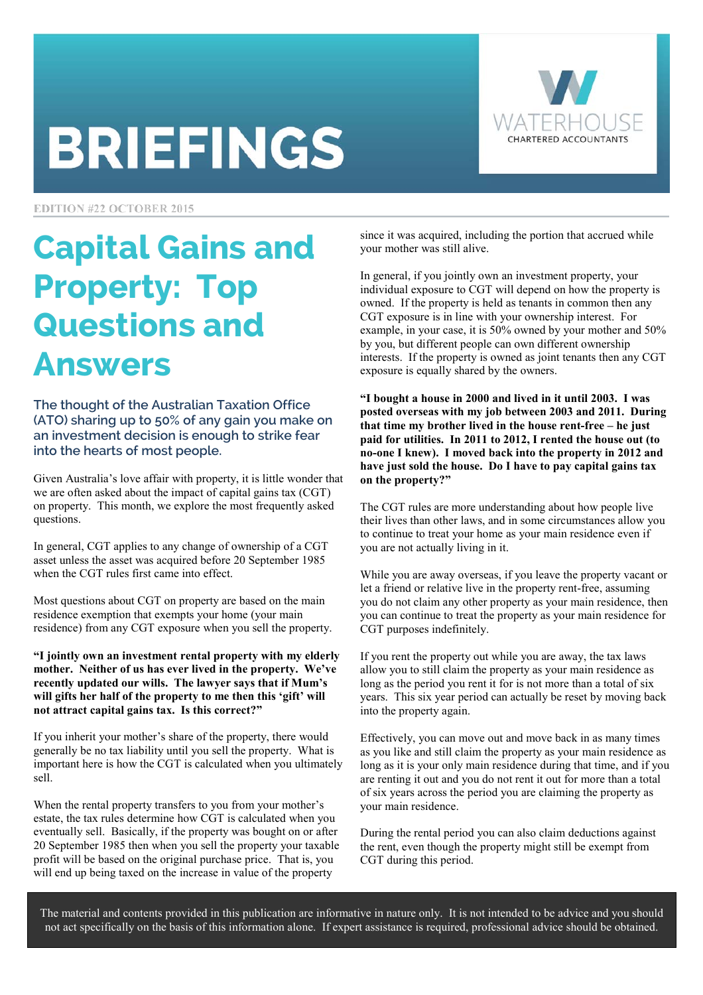# **BRIEFINGS**



**EDITION #22 OCTOBER 2015** 

## Capital Gains and Property: Top Questions and Answers

The thought of the Australian Taxation Office (ATO) sharing up to 50% of any gain you make on an investment decision is enough to strike fear into the hearts of most people.

Given Australia's love affair with property, it is little wonder that we are often asked about the impact of capital gains tax (CGT) on property. This month, we explore the most frequently asked questions.

In general, CGT applies to any change of ownership of a CGT asset unless the asset was acquired before 20 September 1985 when the CGT rules first came into effect.

Most questions about CGT on property are based on the main residence exemption that exempts your home (your main residence) from any CGT exposure when you sell the property.

**"I jointly own an investment rental property with my elderly mother. Neither of us has ever lived in the property. We've recently updated our wills. The lawyer says that if Mum's will gifts her half of the property to me then this 'gift' will not attract capital gains tax. Is this correct?"** 

If you inherit your mother's share of the property, there would generally be no tax liability until you sell the property. What is important here is how the CGT is calculated when you ultimately sell.

When the rental property transfers to you from your mother's estate, the tax rules determine how CGT is calculated when you eventually sell. Basically, if the property was bought on or after 20 September 1985 then when you sell the property your taxable profit will be based on the original purchase price. That is, you will end up being taxed on the increase in value of the property

since it was acquired, including the portion that accrued while your mother was still alive.

In general, if you jointly own an investment property, your individual exposure to CGT will depend on how the property is owned. If the property is held as tenants in common then any CGT exposure is in line with your ownership interest. For example, in your case, it is 50% owned by your mother and 50% by you, but different people can own different ownership interests. If the property is owned as joint tenants then any CGT exposure is equally shared by the owners.

**"I bought a house in 2000 and lived in it until 2003. I was posted overseas with my job between 2003 and 2011. During that time my brother lived in the house rent-free – he just paid for utilities. In 2011 to 2012, I rented the house out (to no-one I knew). I moved back into the property in 2012 and have just sold the house. Do I have to pay capital gains tax on the property?"** 

The CGT rules are more understanding about how people live their lives than other laws, and in some circumstances allow you to continue to treat your home as your main residence even if you are not actually living in it.

While you are away overseas, if you leave the property vacant or let a friend or relative live in the property rent-free, assuming you do not claim any other property as your main residence, then you can continue to treat the property as your main residence for CGT purposes indefinitely.

If you rent the property out while you are away, the tax laws allow you to still claim the property as your main residence as long as the period you rent it for is not more than a total of six years. This six year period can actually be reset by moving back into the property again.

Effectively, you can move out and move back in as many times as you like and still claim the property as your main residence as long as it is your only main residence during that time, and if you are renting it out and you do not rent it out for more than a total of six years across the period you are claiming the property as your main residence.

During the rental period you can also claim deductions against the rent, even though the property might still be exempt from CGT during this period.

The material and contents provided in this publication are informative in nature only. It is not intended to be advice and you should not act specifically on the basis of this information alone. If expert assistance is required, professional advice should be obtained.